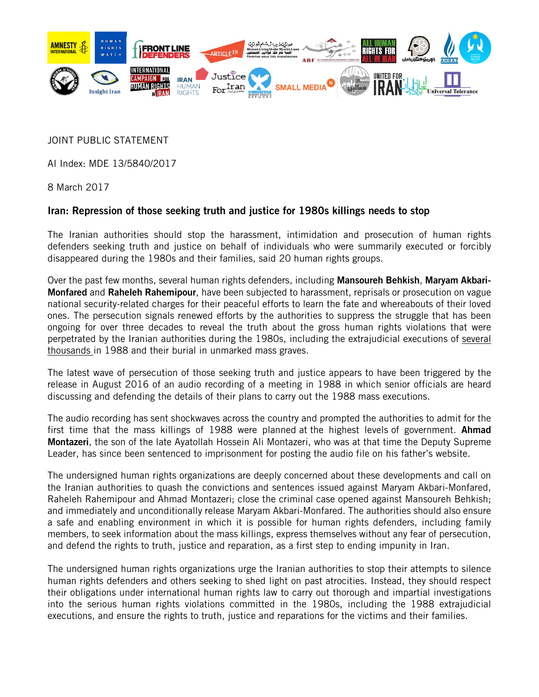

JOINT PUBLIC STATEMENT

AI Index: MDE 13/5840/2017

8 March 2017

## Iran: Repression of those seeking truth and justice for 1980s killings needs to stop

The Iranian authorities should stop the harassment, intimidation and prosecution of human rights defenders seeking truth and justice on behalf of individuals who were summarily executed or forcibly disappeared during the 1980s and their families, said 20 human rights groups.

Over the past few months, several human rights defenders, including Mansoureh Behkish, Maryam Akbari-**Monfared** and **Raheleh Rahemipour**, have been subjected to harassment, reprisals or prosecution on vague national security-related charges for their peaceful efforts to learn the fate and whereabouts of their loved ones. The persecution signals renewed efforts by the authorities to suppress the struggle that has been ongoing for over three decades to reveal the truth about the gross human rights violations that were perpetrated by the Iranian authorities during the 1980s, including the extrajudicial executions of [several](https://www.hrw.org/legacy/backgrounder/mena/iran1205/2.htm) [thousands](https://www.hrw.org/legacy/backgrounder/mena/iran1205/2.htm) in 1988 and their burial in unmarked mass graves.

The latest wave of persecution of those seeking truth and justice appears to have been triggered by the release in August 2016 of an audio recording of a meeting in 1988 in which senior officials are heard discussing and defending the details of their plans to carry out the 1988 mass executions.

The audio recording has sent shockwaves across the country and prompted the authorities to admit for the first time that the mass killings of 1988 were planned at the highest levels of government. **Ahmad** Montazeri, the son of the late Ayatollah Hossein Ali Montazeri, who was at that time the Deputy Supreme Leader, has since been sentenced to imprisonment for posting the audio file on his father's website.

The undersigned human rights organizations are deeply concerned about these developments and call on the Iranian authorities to quash the convictions and sentences issued against Maryam Akbari-Monfared, Raheleh Rahemipour and Ahmad Montazeri; close the criminal case opened against Mansoureh Behkish; and immediately and unconditionally release Maryam Akbari-Monfared. The authorities should also ensure a safe and enabling environment in which it is possible for human rights defenders, including family members, to seek information about the mass killings, express themselves without any fear of persecution, and defend the rights to truth, justice and reparation, as a first step to ending impunity in Iran.

The undersigned human rights organizations urge the Iranian authorities to stop their attempts to silence human rights defenders and others seeking to shed light on past atrocities. Instead, they should respect their obligations under international human rights law to carry out thorough and impartial investigations into the serious human rights violations committed in the 1980s, including the 1988 extrajudicial executions, and ensure the rights to truth, justice and reparations for the victims and their families.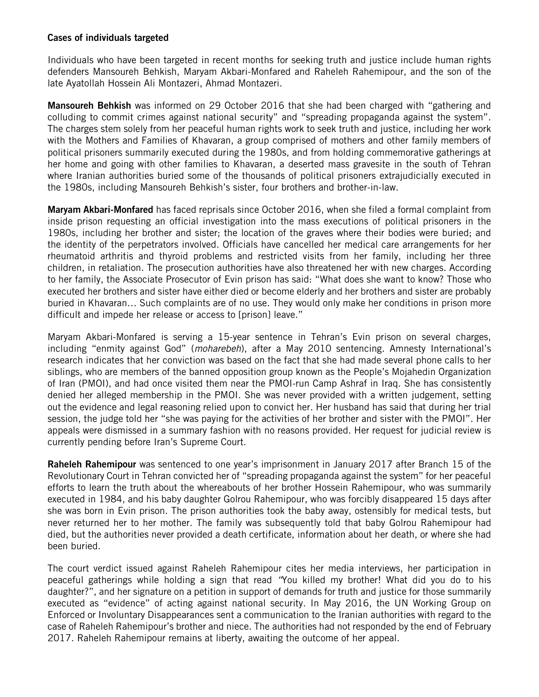## Cases of individuals targeted

Individuals who have been targeted in recent months for seeking truth and justice include human rights defenders Mansoureh Behkish, Maryam Akbari-Monfared and Raheleh Rahemipour, and the son of the late Ayatollah Hossein Ali Montazeri, Ahmad Montazeri.

Mansoureh Behkish was informed on 29 October 2016 that she had been charged with "gathering and colluding to commit crimes against national security" and "spreading propaganda against the system". The charges stem solely from her peaceful human rights work to seek truth and justice, including her work with the Mothers and Families of Khavaran, a group comprised of mothers and other family members of political prisoners summarily executed during the 1980s, and from holding commemorative gatherings at her home and going with other families to Khavaran, a deserted mass gravesite in the south of Tehran where Iranian authorities buried some of the thousands of political prisoners extrajudicially executed in the 1980s, including Mansoureh Behkish's sister, four brothers and brother-in-law.

Maryam Akbari-Monfared has faced reprisals since October 2016, when she filed a formal complaint from inside prison requesting an official investigation into the mass executions of political prisoners in the 1980s, including her brother and sister; the location of the graves where their bodies were buried; and the identity of the perpetrators involved. Officials have cancelled her medical care arrangements for her rheumatoid arthritis and thyroid problems and restricted visits from her family, including her three children, in retaliation. The prosecution authorities have also threatened her with new charges. According to her family, the Associate Prosecutor of Evin prison has said: "What does she want to know? Those who executed her brothers and sister have either died or become elderly and her brothers and sister are probably buried in Khavaran… Such complaints are of no use. They would only make her conditions in prison more difficult and impede her release or access to [prison] leave."

Maryam Akbari-Monfared is serving a 15-year sentence in Tehran's Evin prison on several charges, including "enmity against God" (*moharebeh*), after a May 2010 sentencing. Amnesty International's research indicates that her conviction was based on the fact that she had made several phone calls to her siblings, who are members of the banned opposition group known as the People's Mojahedin Organization of Iran (PMOI), and had once visited them near the PMOI-run Camp Ashraf in Iraq. She has consistently denied her alleged membership in the PMOI. She was never provided with a written judgement, setting out the evidence and legal reasoning relied upon to convict her. Her husband has said that during her trial session, the judge told her "she was paying for the activities of her brother and sister with the PMOI". Her appeals were dismissed in a summary fashion with no reasons provided. Her request for judicial review is currently pending before Iran's Supreme Court.

Raheleh Rahemipour was sentenced to one year's imprisonment in January 2017 after Branch 15 of the Revolutionary Court in Tehran convicted her of "spreading propaganda against the system" for her peaceful efforts to learn the truth about the whereabouts of her brother Hossein Rahemipour, who was summarily executed in 1984, and his baby daughter Golrou Rahemipour, who was forcibly disappeared 15 days after she was born in Evin prison. The prison authorities took the baby away, ostensibly for medical tests, but never returned her to her mother. The family was subsequently told that baby Golrou Rahemipour had died, but the authorities never provided a death certificate, information about her death, or where she had been buried.

The court verdict issued against Raheleh Rahemipour cites her media interviews, her participation in peaceful gatherings while holding a sign that read *"*You killed my brother! What did you do to his daughter?", and her signature on a petition in support of demands for truth and justice for those summarily executed as "evidence" of acting against national security. In May 2016, the UN Working Group on Enforced or Involuntary Disappearances sent a communication to the Iranian authorities with regard to the case of Raheleh Rahemipour's brother and niece. The authorities had not responded by the end of February 2017. Raheleh Rahemipour remains at liberty, awaiting the outcome of her appeal.